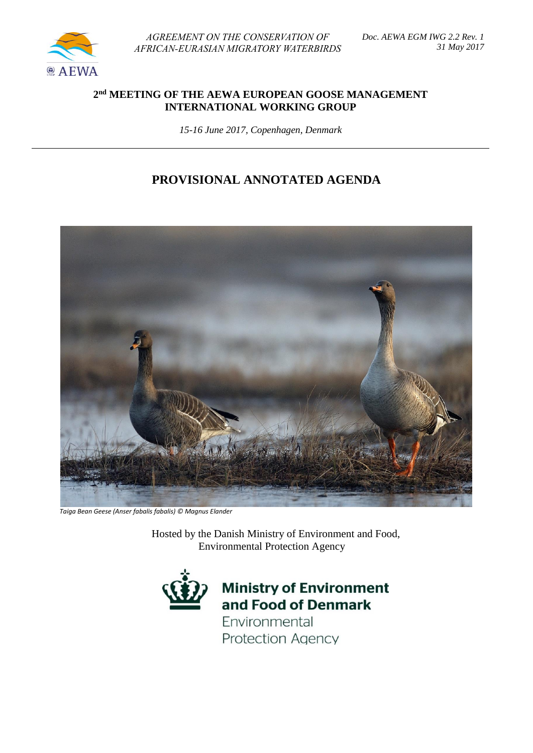

*AGREEMENT ON THE CONSERVATION OF AFRICAN-EURASIAN MIGRATORY WATERBIRDS* 

### **2 nd MEETING OF THE AEWA EUROPEAN GOOSE MANAGEMENT INTERNATIONAL WORKING GROUP**

*15-16 June 2017, Copenhagen, Denmark*

## **PROVISIONAL ANNOTATED AGENDA**



 *Taiga Bean Geese (Anser fabalis fabalis) © Magnus Elander*

 Hosted by the Danish Ministry of Environment and Food, Environmental Protection Agency



# **Ministry of Environment** and Food of Denmark

Environmental **Protection Agency**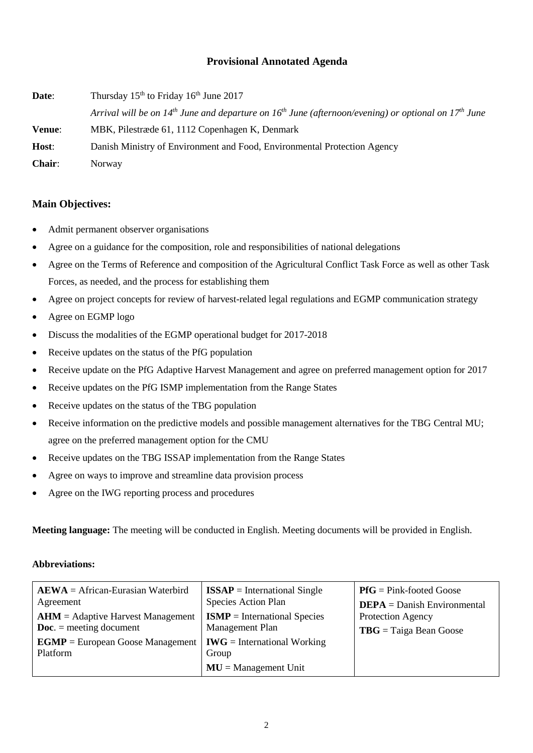#### **Provisional Annotated Agenda**

**Date:** Thursday 15<sup>th</sup> to Friday 16<sup>th</sup> June 2017 Arrival will be on 14<sup>th</sup> June and departure on 16<sup>th</sup> June (afternoon/evening) or optional on 17<sup>th</sup> June **Venue**: MBK, Pilestræde 61, 1112 Copenhagen K, Denmark **Host**: Danish Ministry of Environment and Food, Environmental Protection Agency **Chair**: Norway

#### **Main Objectives:**

- Admit permanent observer organisations
- Agree on a guidance for the composition, role and responsibilities of national delegations
- Agree on the Terms of Reference and composition of the Agricultural Conflict Task Force as well as other Task Forces, as needed, and the process for establishing them
- Agree on project concepts for review of harvest-related legal regulations and EGMP communication strategy
- Agree on EGMP logo
- Discuss the modalities of the EGMP operational budget for 2017-2018
- Receive updates on the status of the PfG population
- Receive update on the PfG Adaptive Harvest Management and agree on preferred management option for 2017
- Receive updates on the PfG ISMP implementation from the Range States
- Receive updates on the status of the TBG population
- Receive information on the predictive models and possible management alternatives for the TBG Central MU; agree on the preferred management option for the CMU
- Receive updates on the TBG ISSAP implementation from the Range States
- Agree on ways to improve and streamline data provision process
- Agree on the IWG reporting process and procedures

**Meeting language:** The meeting will be conducted in English. Meeting documents will be provided in English.

#### **Abbreviations:**

| $A EWA = African-Eurasian Waterbird$<br>Agreement<br>$AHM =$ Adaptive Harvest Management<br>$\mathbf{Doc.}$ = meeting document<br>$EGMP = European Google Management   IWG = International Working$<br>Platform | $ISSAP = International Single$<br>Species Action Plan<br>$ISMP = International Species$<br>Management Plan<br>Group | $P f G = P i n k$ -footed Goose<br>$DEPA = Danish Environmental$<br><b>Protection Agency</b><br>$TBG = Taiga Bean Google$ |
|-----------------------------------------------------------------------------------------------------------------------------------------------------------------------------------------------------------------|---------------------------------------------------------------------------------------------------------------------|---------------------------------------------------------------------------------------------------------------------------|
|                                                                                                                                                                                                                 | $MU = Management Unit$                                                                                              |                                                                                                                           |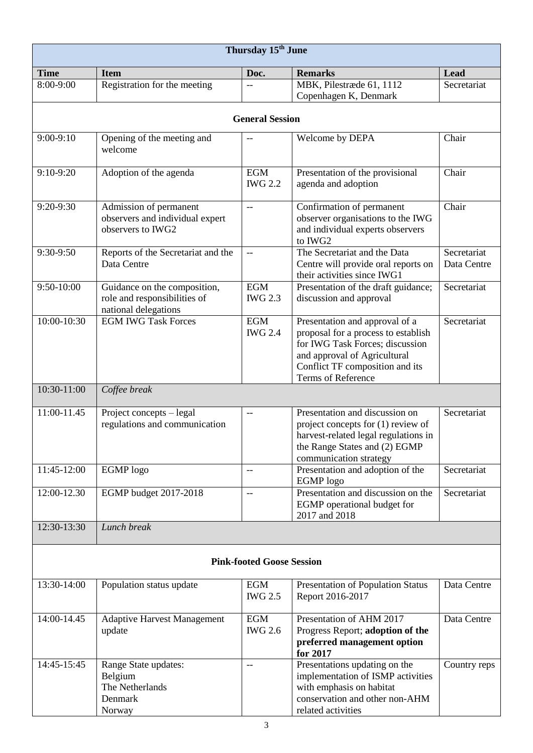| Thursday 15 <sup>th</sup> June |                                                                                      |                                  |                                                                                                                                                                                                   |                            |  |  |
|--------------------------------|--------------------------------------------------------------------------------------|----------------------------------|---------------------------------------------------------------------------------------------------------------------------------------------------------------------------------------------------|----------------------------|--|--|
| <b>Time</b>                    | <b>Item</b>                                                                          | Doc.                             | <b>Remarks</b>                                                                                                                                                                                    | Lead                       |  |  |
| 8:00-9:00                      | Registration for the meeting                                                         |                                  | MBK, Pilestræde 61, 1112                                                                                                                                                                          | Secretariat                |  |  |
|                                |                                                                                      |                                  | Copenhagen K, Denmark                                                                                                                                                                             |                            |  |  |
| <b>General Session</b>         |                                                                                      |                                  |                                                                                                                                                                                                   |                            |  |  |
| $9:00-9:10$                    | Opening of the meeting and<br>welcome                                                |                                  | Welcome by DEPA                                                                                                                                                                                   | Chair                      |  |  |
| $9:10-9:20$                    | Adoption of the agenda                                                               | <b>EGM</b><br><b>IWG 2.2</b>     | Presentation of the provisional<br>agenda and adoption                                                                                                                                            | Chair                      |  |  |
| 9:20-9:30                      | Admission of permanent<br>observers and individual expert<br>observers to IWG2       | $\overline{\phantom{m}}$         | Confirmation of permanent<br>observer organisations to the IWG<br>and individual experts observers<br>to IWG2                                                                                     | Chair                      |  |  |
| 9:30-9:50                      | Reports of the Secretariat and the<br>Data Centre                                    | $\overline{\phantom{m}}$         | The Secretariat and the Data<br>Centre will provide oral reports on<br>their activities since IWG1                                                                                                | Secretariat<br>Data Centre |  |  |
| $9:50-10:00$                   | Guidance on the composition,<br>role and responsibilities of<br>national delegations | <b>EGM</b><br><b>IWG 2.3</b>     | Presentation of the draft guidance;<br>discussion and approval                                                                                                                                    | Secretariat                |  |  |
| 10:00-10:30                    | <b>EGM IWG Task Forces</b>                                                           | <b>EGM</b><br><b>IWG 2.4</b>     | Presentation and approval of a<br>proposal for a process to establish<br>for IWG Task Forces; discussion<br>and approval of Agricultural<br>Conflict TF composition and its<br>Terms of Reference | Secretariat                |  |  |
| 10:30-11:00                    | Coffee break                                                                         |                                  |                                                                                                                                                                                                   |                            |  |  |
| 11:00-11.45                    | Project concepts - legal<br>regulations and communication                            | $-$                              | Presentation and discussion on<br>project concepts for (1) review of<br>harvest-related legal regulations in<br>the Range States and (2) EGMP<br>communication strategy                           | Secretariat                |  |  |
| 11:45-12:00                    | <b>EGMP</b> logo                                                                     | --                               | Presentation and adoption of the<br>EGMP logo                                                                                                                                                     | Secretariat                |  |  |
| 12:00-12.30                    | EGMP budget 2017-2018                                                                | $-$                              | Presentation and discussion on the<br>EGMP operational budget for<br>2017 and 2018                                                                                                                | Secretariat                |  |  |
| 12:30-13:30                    | Lunch break                                                                          |                                  |                                                                                                                                                                                                   |                            |  |  |
|                                |                                                                                      | <b>Pink-footed Goose Session</b> |                                                                                                                                                                                                   |                            |  |  |
| 13:30-14:00                    | Population status update                                                             | <b>EGM</b><br><b>IWG 2.5</b>     | Presentation of Population Status<br>Report 2016-2017                                                                                                                                             | Data Centre                |  |  |
| 14:00-14.45                    | <b>Adaptive Harvest Management</b><br>update                                         | <b>EGM</b><br><b>IWG 2.6</b>     | Presentation of AHM 2017<br>Progress Report; adoption of the<br>preferred management option<br>for 2017                                                                                           | Data Centre                |  |  |
| 14:45-15:45                    | Range State updates:<br>Belgium<br>The Netherlands<br>Denmark<br>Norway              | $\qquad \qquad -$                | Presentations updating on the<br>implementation of ISMP activities<br>with emphasis on habitat<br>conservation and other non-AHM<br>related activities                                            | Country reps               |  |  |